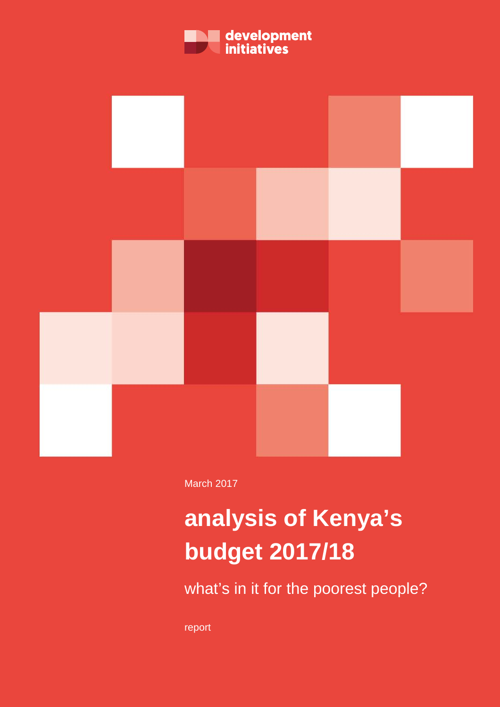



March 2017

# **analysis of Kenya's budget 2017/18**

what's in it for the poorest people?

report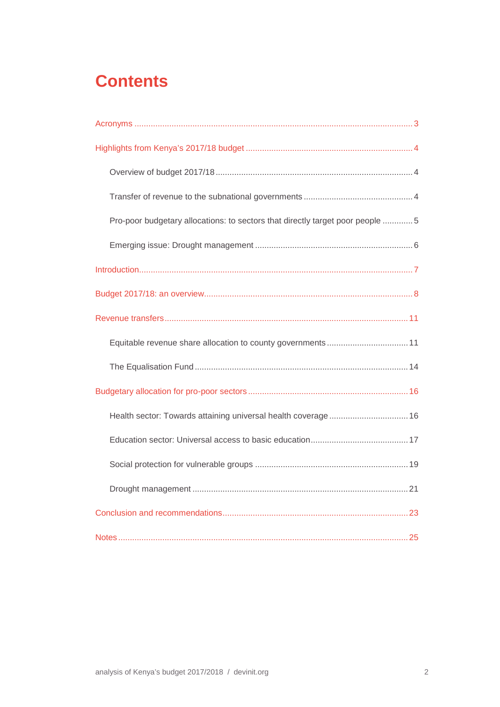# **Contents**

| Pro-poor budgetary allocations: to sectors that directly target poor people 5 |
|-------------------------------------------------------------------------------|
|                                                                               |
|                                                                               |
|                                                                               |
|                                                                               |
|                                                                               |
|                                                                               |
|                                                                               |
| Health sector: Towards attaining universal health coverage  16                |
|                                                                               |
|                                                                               |
|                                                                               |
|                                                                               |
|                                                                               |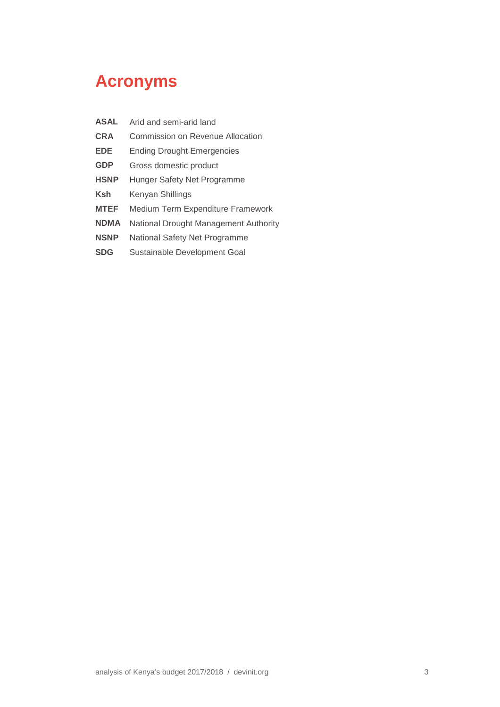# <span id="page-2-0"></span>**Acronyms**

| <b>ASAL</b> | Arid and semi-arid land               |
|-------------|---------------------------------------|
| <b>CRA</b>  | Commission on Revenue Allocation      |
| <b>EDE</b>  | <b>Ending Drought Emergencies</b>     |
| <b>GDP</b>  | Gross domestic product                |
| <b>HSNP</b> | Hunger Safety Net Programme           |
| Ksh         | Kenyan Shillings                      |
| <b>MTEF</b> | Medium Term Expenditure Framework     |
| <b>NDMA</b> | National Drought Management Authority |
| <b>NSNP</b> | National Safety Net Programme         |
| <b>SDG</b>  | Sustainable Development Goal          |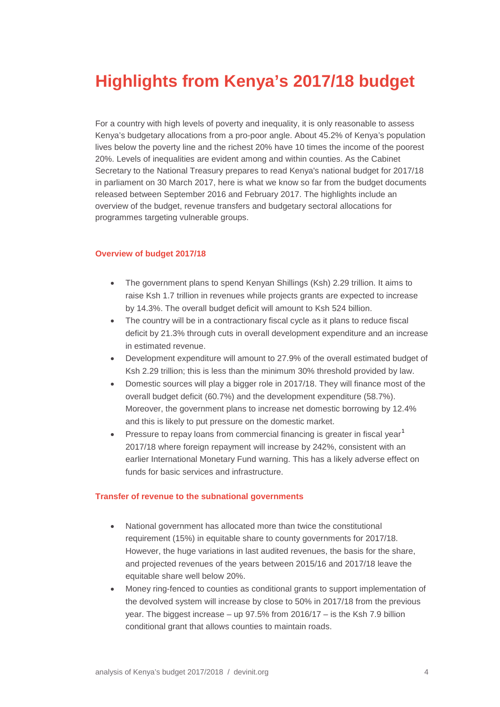# <span id="page-3-0"></span>**Highlights from Kenya's 2017/18 budget**

For a country with high levels of poverty and inequality, it is only reasonable to assess Kenya's budgetary allocations from a pro-poor angle. About 45.2% of Kenya's population lives below the poverty line and the richest 20% have 10 times the income of the poorest 20%. Levels of inequalities are evident among and within counties. As the Cabinet Secretary to the National Treasury prepares to read Kenya's national budget for 2017/18 in parliament on 30 March 2017, here is what we know so far from the budget documents released between September 2016 and February 2017. The highlights include an overview of the budget, revenue transfers and budgetary sectoral allocations for programmes targeting vulnerable groups.

#### <span id="page-3-1"></span>**Overview of budget 2017/18**

- The government plans to spend Kenyan Shillings (Ksh) 2.29 trillion. It aims to raise Ksh 1.7 trillion in revenues while projects grants are expected to increase by 14.3%. The overall budget deficit will amount to Ksh 524 billion.
- The country will be in a contractionary fiscal cycle as it plans to reduce fiscal deficit by 21.3% through cuts in overall development expenditure and an increase in estimated revenue.
- Development expenditure will amount to 27.9% of the overall estimated budget of Ksh 2.29 trillion; this is less than the minimum 30% threshold provided by law.
- Domestic sources will play a bigger role in 2017/18. They will finance most of the overall budget deficit (60.7%) and the development expenditure (58.7%). Moreover, the government plans to increase net domestic borrowing by 12.4% and this is likely to put pressure on the domestic market.
- Pressure to repay loans from commercial financing is greater in fiscal year<sup>[1](#page-24-1)</sup> 2017/18 where foreign repayment will increase by 242%, consistent with an earlier International Monetary Fund warning. This has a likely adverse effect on funds for basic services and infrastructure.

#### <span id="page-3-2"></span>**Transfer of revenue to the subnational governments**

- National government has allocated more than twice the constitutional requirement (15%) in equitable share to county governments for 2017/18. However, the huge variations in last audited revenues, the basis for the share, and projected revenues of the years between 2015/16 and 2017/18 leave the equitable share well below 20%.
- Money ring-fenced to counties as conditional grants to support implementation of the devolved system will increase by close to 50% in 2017/18 from the previous year. The biggest increase – up 97.5% from 2016/17 – is the Ksh 7.9 billion conditional grant that allows counties to maintain roads.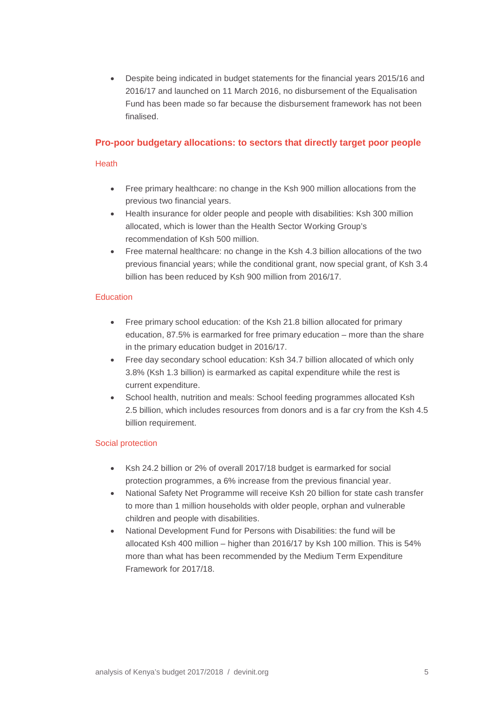• Despite being indicated in budget statements for the financial years 2015/16 and 2016/17 and launched on 11 March 2016, no disbursement of the Equalisation Fund has been made so far because the disbursement framework has not been finalised.

#### <span id="page-4-0"></span>**Pro-poor budgetary allocations: to sectors that directly target poor people**

#### Heath

- Free primary healthcare: no change in the Ksh 900 million allocations from the previous two financial years.
- Health insurance for older people and people with disabilities: Ksh 300 million allocated, which is lower than the Health Sector Working Group's recommendation of Ksh 500 million.
- Free maternal healthcare: no change in the Ksh 4.3 billion allocations of the two previous financial years; while the conditional grant, now special grant, of Ksh 3.4 billion has been reduced by Ksh 900 million from 2016/17.

#### **Education**

- Free primary school education: of the Ksh 21.8 billion allocated for primary education, 87.5% is earmarked for free primary education – more than the share in the primary education budget in 2016/17.
- Free day secondary school education: Ksh 34.7 billion allocated of which only 3.8% (Ksh 1.3 billion) is earmarked as capital expenditure while the rest is current expenditure.
- School health, nutrition and meals: School feeding programmes allocated Ksh 2.5 billion, which includes resources from donors and is a far cry from the Ksh 4.5 billion requirement.

#### Social protection

- Ksh 24.2 billion or 2% of overall 2017/18 budget is earmarked for social protection programmes, a 6% increase from the previous financial year.
- National Safety Net Programme will receive Ksh 20 billion for state cash transfer to more than 1 million households with older people, orphan and vulnerable children and people with disabilities.
- National Development Fund for Persons with Disabilities: the fund will be allocated Ksh 400 million – higher than 2016/17 by Ksh 100 million. This is 54% more than what has been recommended by the Medium Term Expenditure Framework for 2017/18.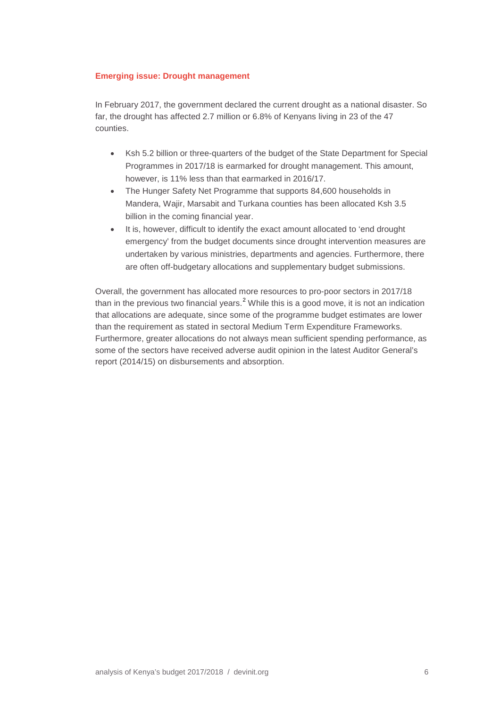#### <span id="page-5-0"></span>**Emerging issue: Drought management**

In February 2017, the government declared the current drought as a national disaster. So far, the drought has affected 2.7 million or 6.8% of Kenyans living in 23 of the 47 counties.

- Ksh 5.2 billion or three-quarters of the budget of the State Department for Special Programmes in 2017/18 is earmarked for drought management. This amount, however, is 11% less than that earmarked in 2016/17.
- The Hunger Safety Net Programme that supports 84,600 households in Mandera, Wajir, Marsabit and Turkana counties has been allocated Ksh 3.5 billion in the coming financial year.
- It is, however, difficult to identify the exact amount allocated to 'end drought emergency' from the budget documents since drought intervention measures are undertaken by various ministries, departments and agencies. Furthermore, there are often off-budgetary allocations and supplementary budget submissions.

Overall, the government has allocated more resources to pro-poor sectors in 2017/18 than in the previous two financial years.<sup>[2](#page-24-2)</sup> While this is a good move, it is not an indication that allocations are adequate, since some of the programme budget estimates are lower than the requirement as stated in sectoral Medium Term Expenditure Frameworks. Furthermore, greater allocations do not always mean sufficient spending performance, as some of the sectors have received adverse audit opinion in the latest Auditor General's report (2014/15) on disbursements and absorption.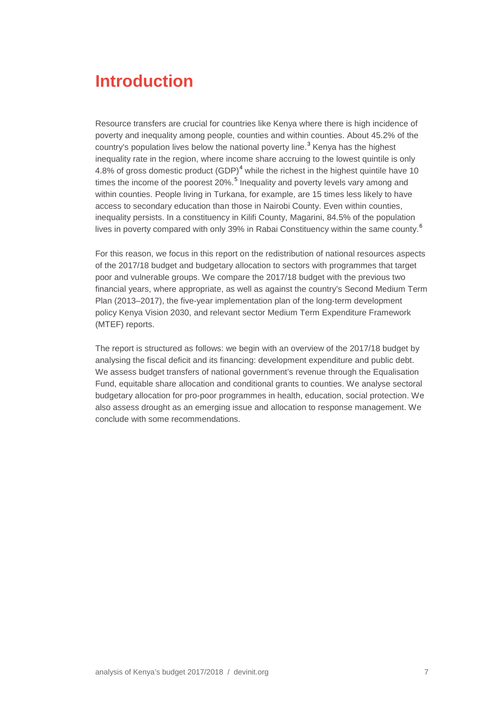# <span id="page-6-0"></span>**Introduction**

Resource transfers are crucial for countries like Kenya where there is high incidence of poverty and inequality among people, counties and within counties. About 45.2% of the country's population lives below the national poverty line.<sup>[3](#page-24-3)</sup> Kenya has the highest inequality rate in the region, where income share accruing to the lowest quintile is only [4](#page-24-4).8% of gross domestic product  $(GDP)<sup>4</sup>$  while the richest in the highest quintile have 10 times the income of the poorest 20%.<sup>[5](#page-24-5)</sup> Inequality and poverty levels vary among and within counties. People living in Turkana, for example, are 15 times less likely to have access to secondary education than those in Nairobi County. Even within counties, inequality persists. In a constituency in Kilifi County, Magarini, 84.5% of the population lives in poverty compared with only 39% in Rabai Constituency within the same county.<sup>[6](#page-24-6)</sup>

For this reason, we focus in this report on the redistribution of national resources aspects of the 2017/18 budget and budgetary allocation to sectors with programmes that target poor and vulnerable groups. We compare the 2017/18 budget with the previous two financial years, where appropriate, as well as against the country's Second Medium Term Plan (2013–2017), the five-year implementation plan of the long-term development policy Kenya Vision 2030, and relevant sector Medium Term Expenditure Framework (MTEF) reports.

The report is structured as follows: we begin with an overview of the 2017/18 budget by analysing the fiscal deficit and its financing: development expenditure and public debt. We assess budget transfers of national government's revenue through the Equalisation Fund, equitable share allocation and conditional grants to counties. We analyse sectoral budgetary allocation for pro-poor programmes in health, education, social protection. We also assess drought as an emerging issue and allocation to response management. We conclude with some recommendations.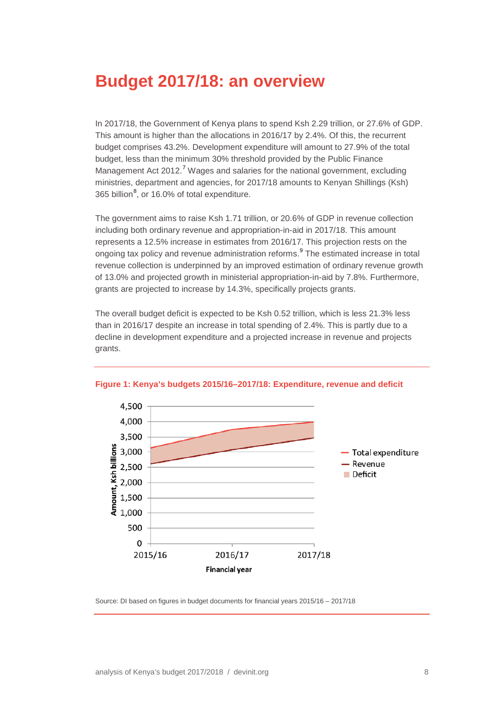# <span id="page-7-0"></span>**Budget 2017/18: an overview**

In 2017/18, the Government of Kenya plans to spend Ksh 2.29 trillion, or 27.6% of GDP. This amount is higher than the allocations in 2016/17 by 2.4%. Of this, the recurrent budget comprises 43.2%. Development expenditure will amount to 27.9% of the total budget, less than the minimum 30% threshold provided by the Public Finance Management Act 2012.<sup>[7](#page-24-7)</sup> Wages and salaries for the national government, excluding ministries, department and agencies, for 2017/18 amounts to Kenyan Shillings (Ksh) 365 billion<sup>[8](#page-24-8)</sup>, or 16.0% of total expenditure.

The government aims to raise Ksh 1.71 trillion, or 20.6% of GDP in revenue collection including both ordinary revenue and appropriation-in-aid in 2017/18. This amount represents a 12.5% increase in estimates from 2016/17. This projection rests on the ongoing tax policy and revenue administration reforms. [9](#page-24-9) The estimated increase in total revenue collection is underpinned by an improved estimation of ordinary revenue growth of 13.0% and projected growth in ministerial appropriation-in-aid by 7.8%. Furthermore, grants are projected to increase by 14.3%, specifically projects grants.

The overall budget deficit is expected to be Ksh 0.52 trillion, which is less 21.3% less than in 2016/17 despite an increase in total spending of 2.4%. This is partly due to a decline in development expenditure and a projected increase in revenue and projects grants.



**Figure 1: Kenya's budgets 2015/16–2017/18: Expenditure, revenue and deficit**

Source: DI based on figures in budget documents for financial years 2015/16 – 2017/18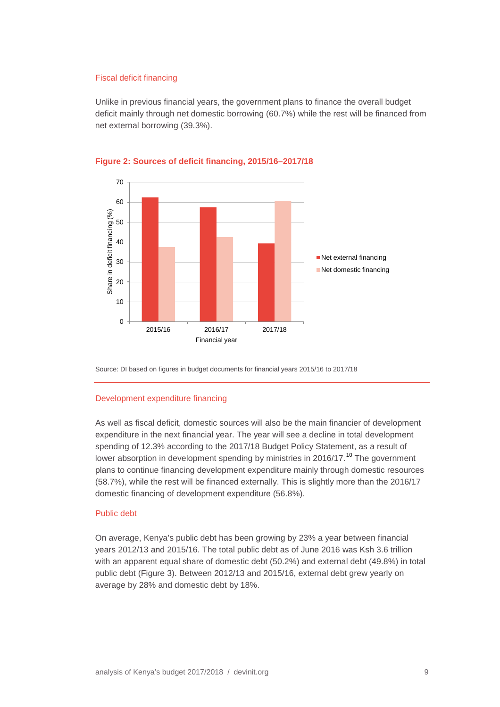#### Fiscal deficit financing

Unlike in previous financial years, the government plans to finance the overall budget deficit mainly through net domestic borrowing (60.7%) while the rest will be financed from net external borrowing (39.3%).





Source: DI based on figures in budget documents for financial years 2015/16 to 2017/18

#### Development expenditure financing

As well as fiscal deficit, domestic sources will also be the main financier of development expenditure in the next financial year. The year will see a decline in total development spending of 12.3% according to the 2017/18 Budget Policy Statement, as a result of lower absorption in development spending by ministries in 2016/17.<sup>[10](#page-24-10)</sup> The government plans to continue financing development expenditure mainly through domestic resources (58.7%), while the rest will be financed externally. This is slightly more than the 2016/17 domestic financing of development expenditure (56.8%).

#### Public debt

On average, Kenya's public debt has been growing by 23% a year between financial years 2012/13 and 2015/16. The total public debt as of June 2016 was Ksh 3.6 trillion with an apparent equal share of domestic debt (50.2%) and external debt (49.8%) in total public debt (Figure 3). Between 2012/13 and 2015/16, external debt grew yearly on average by 28% and domestic debt by 18%.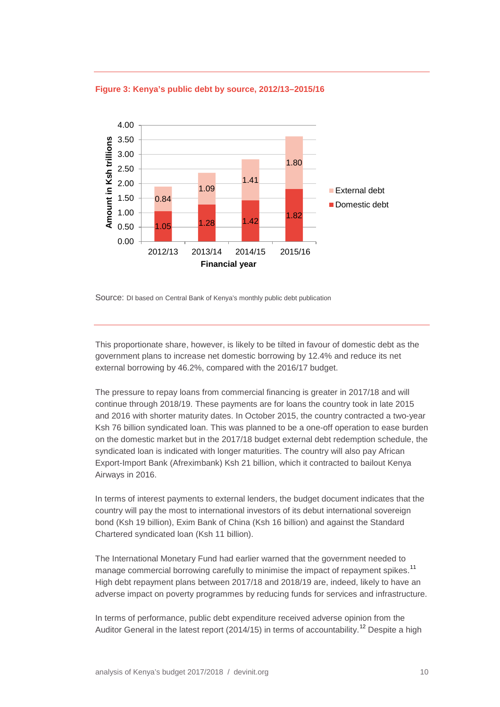

**Figure 3: Kenya's public debt by source, 2012/13–2015/16**

Source: DI based on Central Bank of Kenya's monthly public debt publication

This proportionate share, however, is likely to be tilted in favour of domestic debt as the government plans to increase net domestic borrowing by 12.4% and reduce its net external borrowing by 46.2%, compared with the 2016/17 budget.

The pressure to repay loans from commercial financing is greater in 2017/18 and will continue through 2018/19. These payments are for loans the country took in late 2015 and 2016 with shorter maturity dates. In October 2015, the country contracted a two-year Ksh 76 billion syndicated loan. This was planned to be a one-off operation to ease burden on the domestic market but in the 2017/18 budget external debt redemption schedule, the syndicated loan is indicated with longer maturities. The country will also pay African Export-Import Bank (Afreximbank) Ksh 21 billion, which it contracted to bailout Kenya Airways in 2016.

In terms of interest payments to external lenders, the budget document indicates that the country will pay the most to international investors of its debut international sovereign bond (Ksh 19 billion), Exim Bank of China (Ksh 16 billion) and against the Standard Chartered syndicated loan (Ksh 11 billion).

[The International Monetary Fund](https://www.imf.org/external/pubs/ft/dsa/pdf/2016/dsacr1685.pdf) had earlier warned that the government needed to manage commercial borrowing carefully to minimise the impact of repayment spikes.<sup>[11](#page-24-11)</sup> High debt repayment plans between 2017/18 and 2018/19 are, indeed, likely to have an adverse impact on poverty programmes by reducing funds for services and infrastructure.

In terms of performance, public debt expenditure received adverse opinion from the Auditor General in the latest report (2014/15) in terms of accountability.<sup>[12](#page-24-12)</sup> Despite a high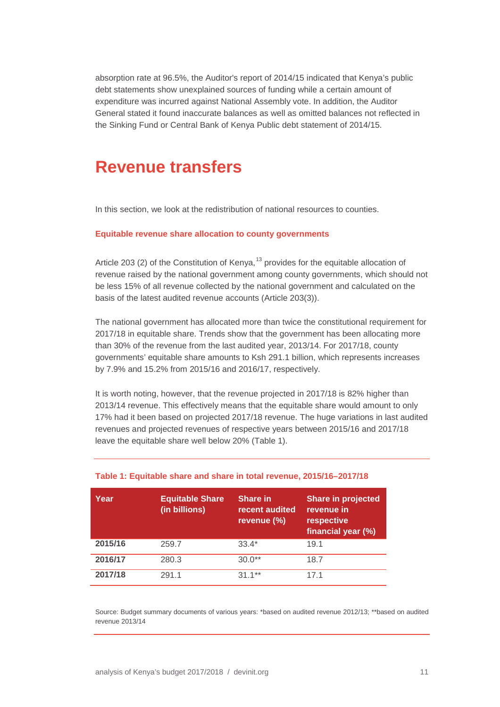absorption rate at 96.5%, the Auditor's report of 2014/15 indicated that Kenya's public debt statements show unexplained sources of funding while a certain amount of expenditure was incurred against National Assembly vote. In addition, the Auditor General stated it found inaccurate balances as well as omitted balances not reflected in the Sinking Fund or Central Bank of Kenya Public debt statement of 2014/15.

### <span id="page-10-0"></span>**Revenue transfers**

<span id="page-10-1"></span>In this section, we look at the redistribution of national resources to counties.

#### **Equitable revenue share allocation to county governments**

Article 203 (2) of the Constitution of Kenya,<sup>[13](#page-24-13)</sup> provides for the equitable allocation of revenue raised by the national government among county governments, which should not be less 15% of all revenue collected by the national government and calculated on the basis of the latest audited revenue accounts (Article 203(3)).

The national government has allocated more than twice the constitutional requirement for 2017/18 in equitable share. Trends show that the government has been allocating more than 30% of the revenue from the last audited year, 2013/14. For 2017/18, county governments' equitable share amounts to Ksh 291.1 billion, which represents increases by 7.9% and 15.2% from 2015/16 and 2016/17, respectively.

It is worth noting, however, that the revenue projected in 2017/18 is 82% higher than 2013/14 revenue. This effectively means that the equitable share would amount to only 17% had it been based on projected 2017/18 revenue. The huge variations in last audited revenues and projected revenues of respective years between 2015/16 and 2017/18 leave the equitable share well below 20% (Table 1).

| Year    | <b>Equitable Share</b><br>(in billions) | <b>Share in</b><br>recent audited<br>revenue (%) | <b>Share in projected</b><br>revenue in<br>respective<br>financial year (%) |
|---------|-----------------------------------------|--------------------------------------------------|-----------------------------------------------------------------------------|
| 2015/16 | 259.7                                   | $33.4*$                                          | 19.1                                                                        |
| 2016/17 | 280.3                                   | $30.0**$                                         | 18.7                                                                        |
| 2017/18 | 291.1                                   | $311**$                                          | 171                                                                         |

#### **Table 1: Equitable share and share in total revenue, 2015/16–2017/18**

Source: Budget summary documents of various years: \*based on audited revenue 2012/13; \*\*based on audited revenue 2013/14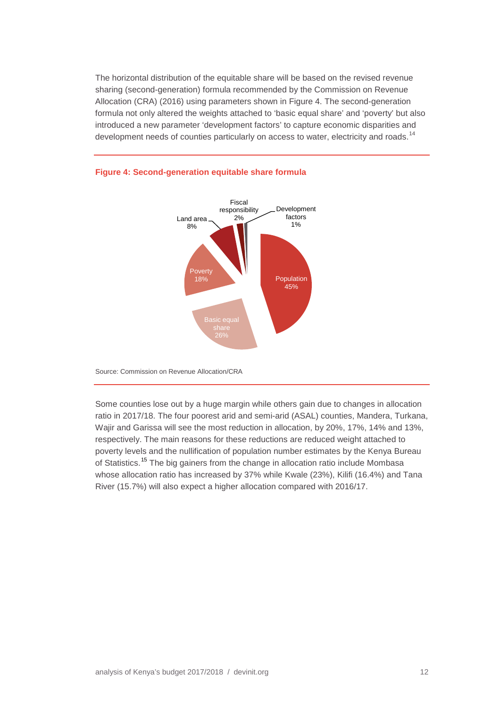The horizontal distribution of the equitable share will be based on the revised revenue sharing (second-generation) formula recommended by the Commission on Revenue Allocation (CRA) (2016) using parameters shown in Figure 4. The second-generation formula not only altered the weights attached to 'basic equal share' and 'poverty' but also introduced a new parameter 'development factors' to capture economic disparities and development needs of counties particularly on access to water, electricity and roads.<sup>[14](#page-24-14)</sup>



#### **Figure 4: Second-generation equitable share formula**

Source: Commission on Revenue Allocation/CRA

Some counties lose out by a huge margin while others gain due to changes in allocation ratio in 2017/18. The four poorest arid and semi-arid (ASAL) counties, Mandera, Turkana, Wajir and Garissa will see the most reduction in allocation, by 20%, 17%, 14% and 13%, respectively. The main reasons for these reductions are reduced weight attached to poverty levels and the nullification of population number estimates by the Kenya Bureau of Statistics.<sup>[15](#page-24-15)</sup> The big gainers from the change in allocation ratio include Mombasa whose allocation ratio has increased by 37% while Kwale (23%), Kilifi (16.4%) and Tana River (15.7%) will also expect a higher allocation compared with 2016/17.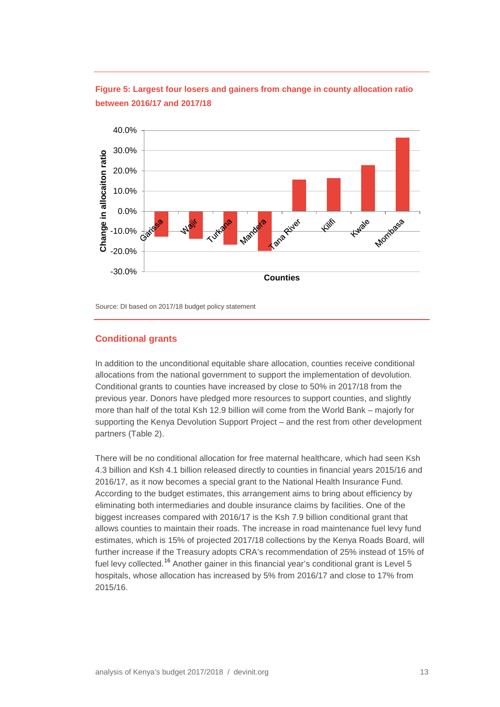

**Figure 5: Largest four losers and gainers from change in county allocation ratio between 2016/17 and 2017/18**

Source: DI based on 2017/18 budget policy statement

#### **Conditional grants**

In addition to the unconditional equitable share allocation, counties receive conditional allocations from the national government to support the implementation of devolution. Conditional grants to counties have increased by close to 50% in 2017/18 from the previous year. Donors have pledged more resources to support counties, and slightly more than half of the total Ksh 12.9 billion will come from the World Bank – majorly for supporting the Kenya Devolution Support Project – and the rest from other development partners (Table 2).

There will be no conditional allocation for free maternal healthcare, which had seen Ksh 4.3 billion and Ksh 4.1 billion released directly to counties in financial years 2015/16 and 2016/17, as it now becomes a special grant to the National Health Insurance Fund. According to the budget estimates, this arrangement aims to bring about efficiency by eliminating both intermediaries and double insurance claims by facilities. One of the biggest increases compared with 2016/17 is the Ksh 7.9 billion conditional grant that allows counties to maintain their roads. The increase in road maintenance fuel levy fund estimates, which is 15% of projected 2017/18 collections by the Kenya Roads Board, will further increase if the Treasury adopts CRA's recommendation of 25% instead of 15% of fuel levy collected.<sup>[16](#page-24-16)</sup> Another gainer in this financial year's conditional grant is Level 5 hospitals, whose allocation has increased by 5% from 2016/17 and close to 17% from 2015/16.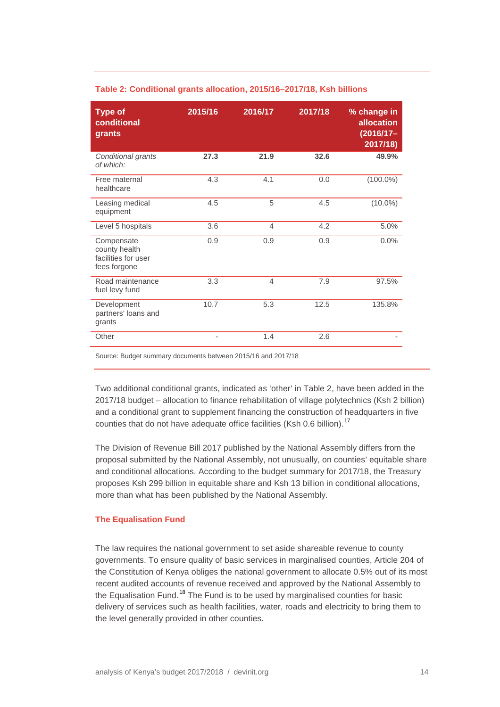| <b>Type of</b><br>conditional<br>grants                            | 2015/16                  | 2016/17        | 2017/18 | % change in<br><b>allocation</b><br>$(2016/17 -$<br>2017/18 |
|--------------------------------------------------------------------|--------------------------|----------------|---------|-------------------------------------------------------------|
| Conditional grants<br>of which:                                    | 27.3                     | 21.9           | 32.6    | 49.9%                                                       |
| Free maternal<br>healthcare                                        | 4.3                      | 4.1            | 0.0     | $(100.0\%)$                                                 |
| Leasing medical<br>equipment                                       | 4.5                      | 5              | 4.5     | $(10.0\%)$                                                  |
| Level 5 hospitals                                                  | 3.6                      | $\overline{4}$ | 4.2     | 5.0%                                                        |
| Compensate<br>county health<br>facilities for user<br>fees forgone | 0.9                      | 0.9            | 0.9     | 0.0%                                                        |
| Road maintenance<br>fuel levy fund                                 | 3.3                      | 4              | 7.9     | 97.5%                                                       |
| Development<br>partners' loans and<br>grants                       | 10.7                     | 5.3            | 12.5    | 135.8%                                                      |
| Other                                                              | $\overline{\phantom{0}}$ | 1.4            | 2.6     |                                                             |

#### **Table 2: Conditional grants allocation, 2015/16–2017/18, Ksh billions**

Source: Budget summary documents between 2015/16 and 2017/18

Two additional conditional grants, indicated as 'other' in Table 2, have been added in the 2017/18 budget – allocation to finance rehabilitation of village polytechnics (Ksh 2 billion) and a conditional grant to supplement financing the construction of headquarters in five counties that do not have adequate office facilities (Ksh 0.6 billion).<sup>[17](#page-24-17)</sup>

The Division of Revenue Bill 2017 published by the National Assembly differs from the proposal submitted by the National Assembly, not unusually, on counties' equitable share and conditional allocations. According to the budget summary for 2017/18, the Treasury proposes Ksh 299 billion in equitable share and Ksh 13 billion in conditional allocations, more than what has been published by the National Assembly.

#### <span id="page-13-0"></span>**The Equalisation Fund**

The law requires the national government to set aside shareable revenue to county governments. To ensure quality of basic services in marginalised counties, Article 204 of the Constitution of Kenya obliges the national government to allocate 0.5% out of its most recent audited accounts of revenue received and approved by the National Assembly to the Equalisation Fund.<sup>[18](#page-24-18)</sup> The Fund is to be used by marginalised counties for basic delivery of services such as health facilities, water, roads and electricity to bring them to the level generally provided in other counties.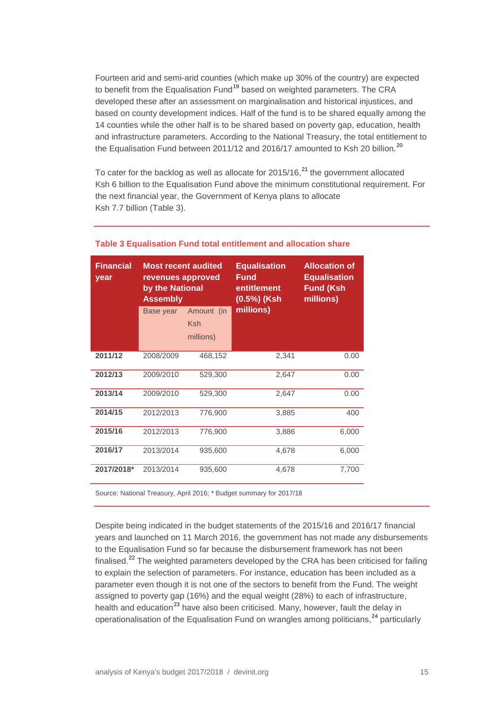Fourteen arid and semi-arid counties (which make up 30% of the country) are expected to benefit from the Equalisation Fund<sup>[19](#page-24-19)</sup> based on weighted parameters. The CRA developed these after an assessment on marginalisation and historical injustices, and based on county development indices. Half of the fund is to be shared equally among the 14 counties while the other half is to be shared based on poverty gap, education, health and infrastructure parameters. According to the National Treasury, the total entitlement to the Equalisation Fund between [20](#page-24-20)11/12 and 2016/17 amounted to Ksh 20 billion.<sup>20</sup>

To cater for the backlog as well as allocate for 2015/16,<sup>[21](#page-24-21)</sup> the government allocated Ksh 6 billion to the Equalisation Fund above the minimum constitutional requirement. For the next financial year, the Government of Kenya plans to allocate Ksh 7.7 billion (Table 3).

| <b>Financial</b><br><b>Most recent audited</b><br>revenues approved<br>year<br>by the National<br><b>Assembly</b> |           |                          | <b>Equalisation</b><br>Fund<br>entitlement<br>$(0.5\%)$ (Ksh | <b>Allocation of</b><br><b>Equalisation</b><br><b>Fund (Ksh</b><br>millions) |
|-------------------------------------------------------------------------------------------------------------------|-----------|--------------------------|--------------------------------------------------------------|------------------------------------------------------------------------------|
|                                                                                                                   | Base year | Amount (in<br><b>Ksh</b> | millions)                                                    |                                                                              |
|                                                                                                                   |           | millions)                |                                                              |                                                                              |
| 2011/12                                                                                                           | 2008/2009 | 468,152                  | 2,341                                                        | 0.00                                                                         |
| 2012/13                                                                                                           | 2009/2010 | 529,300                  | 2,647                                                        | 0.00                                                                         |
| 2013/14                                                                                                           | 2009/2010 | 529,300                  | 2,647                                                        | 0.00                                                                         |
| 2014/15                                                                                                           | 2012/2013 | 776,900                  | 3,885                                                        | 400                                                                          |
| 2015/16                                                                                                           | 2012/2013 | 776,900                  | 3,886                                                        | 6,000                                                                        |
| 2016/17                                                                                                           | 2013/2014 | 935,600                  | 4,678                                                        | 6,000                                                                        |
| 2017/2018*                                                                                                        | 2013/2014 | 935,600                  | 4,678                                                        | 7,700                                                                        |

#### **Table 3 Equalisation Fund total entitlement and allocation share**

Source: National Treasury, April 2016; \* Budget summary for 2017/18

Despite being indicated in the budget statements of the 2015/16 and 2016/17 financial years and launched on 11 March 2016, the government has not made any disbursements to the Equalisation Fund so far because the disbursement framework has not been finalised.<sup>[22](#page-24-22)</sup> The weighted parameters developed by the CRA has been criticised for failing to explain the selection of parameters. For instance, education has been included as a parameter even though it is not one of the sectors to benefit from the Fund. The weight assigned to poverty gap (16%) and the equal weight (28%) to each of infrastructure, health and education<sup>[23](#page-25-0)</sup> have also been criticised. Many, however, fault the delay in operationalisation of the Equalisation Fund on wrangles among politicians,<sup>[24](#page-25-1)</sup> particularly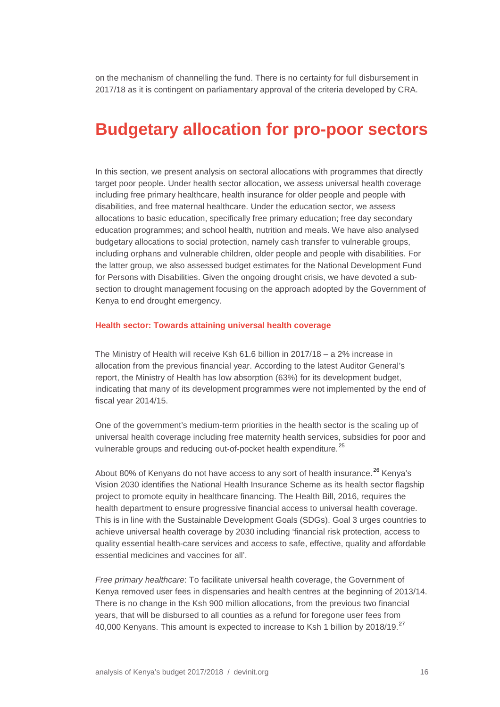on the mechanism of channelling the fund. There is no certainty for full disbursement in 2017/18 as it is contingent on parliamentary approval of the criteria developed by CRA.

### <span id="page-15-0"></span>**Budgetary allocation for pro-poor sectors**

In this section, we present analysis on sectoral allocations with programmes that directly target poor people. Under health sector allocation, we assess universal health coverage including free primary healthcare, health insurance for older people and people with disabilities, and free maternal healthcare. Under the education sector, we assess allocations to basic education, specifically free primary education; free day secondary education programmes; and school health, nutrition and meals. We have also analysed budgetary allocations to social protection, namely cash transfer to vulnerable groups, including orphans and vulnerable children, older people and people with disabilities. For the latter group, we also assessed budget estimates for the National Development Fund for Persons with Disabilities. Given the ongoing drought crisis, we have devoted a subsection to drought management focusing on the approach adopted by the Government of Kenya to end drought emergency.

#### <span id="page-15-1"></span>**Health sector: Towards attaining universal health coverage**

The Ministry of Health will receive Ksh 61.6 billion in 2017/18 – a 2% increase in allocation from the previous financial year. According to the latest Auditor General's report, the Ministry of Health has low absorption (63%) for its development budget, indicating that many of its development programmes were not implemented by the end of fiscal year 2014/15.

One of the government's medium-term priorities in the health sector is the scaling up of universal health coverage including free maternity health services, subsidies for poor and vulnerable groups and reducing out-of-pocket health expenditure.<sup>[25](#page-25-2)</sup>

About 80% of Kenyans do not have access to any sort of health insurance.<sup>[26](#page-25-3)</sup> Kenya's Vision 2030 identifies the National Health Insurance Scheme as its health sector flagship project to promote equity in healthcare financing. The Health Bill, 2016, requires the health department to ensure progressive financial access to universal health coverage. This is in line with the Sustainable Development Goals (SDGs). Goal 3 urges countries to achieve universal health coverage by 2030 including 'financial risk protection, access to quality essential health-care services and access to safe, effective, quality and affordable essential medicines and vaccines for all'.

*Free primary healthcare*: To facilitate universal health coverage, the Government of Kenya removed user fees in dispensaries and health centres at the beginning of 2013/14. There is no change in the Ksh 900 million allocations, from the previous two financial years, that will be disbursed to all counties as a refund for foregone user fees from 40,000 Kenyans. This amount is expected to increase to Ksh 1 billion by 2018/19.<sup>[27](#page-25-4)</sup>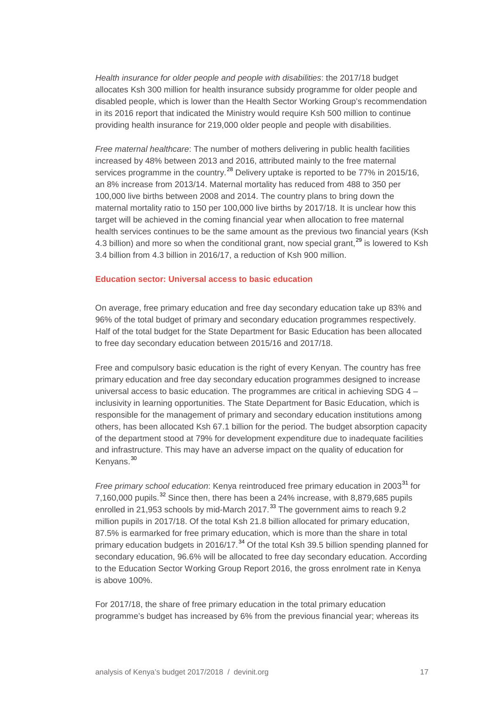*Health insurance for older people and people with disabilities*: the 2017/18 budget allocates Ksh 300 million for health insurance subsidy programme for older people and disabled people, which is lower than the Health Sector Working Group's recommendation in its 2016 report that indicated the Ministry would require Ksh 500 million to continue providing health insurance for 219,000 older people and people with disabilities.

*Free maternal healthcare*: The number of mothers delivering in public health facilities increased by 48% between 2013 and 2016, attributed mainly to the free maternal services programme in the country.<sup>[28](#page-25-5)</sup> Delivery uptake is reported to be 77% in 2015/16, an 8% increase from 2013/14. Maternal mortality has reduced from 488 to 350 per 100,000 live births between 2008 and 2014. The country plans to bring down the maternal mortality ratio to 150 per 100,000 live births by 2017/18. It is unclear how this target will be achieved in the coming financial year when allocation to free maternal health services continues to be the same amount as the previous two financial years (Ksh 4.3 billion) and more so when the conditional grant, now special grant,<sup>[29](#page-25-6)</sup> is lowered to Ksh 3.4 billion from 4.3 billion in 2016/17, a reduction of Ksh 900 million.

#### <span id="page-16-0"></span>**Education sector: Universal access to basic education**

On average, free primary education and free day secondary education take up 83% and 96% of the total budget of primary and secondary education programmes respectively. Half of the total budget for the State Department for Basic Education has been allocated to free day secondary education between 2015/16 and 2017/18.

Free and compulsory basic education is the right of every Kenyan. The country has free primary education and free day secondary education programmes designed to increase universal access to basic education. The programmes are critical in achieving SDG 4 – inclusivity in learning opportunities. The State Department for Basic Education, which is responsible for the management of primary and secondary education institutions among others, has been allocated Ksh 67.1 billion for the period. The budget absorption capacity of the department stood at 79% for development expenditure due to inadequate facilities and infrastructure. This may have an adverse impact on the quality of education for Kenyans.<sup>[30](#page-25-7)</sup>

*Free primary school education*: Kenya reintroduced free primary education in 2003<sup>[31](#page-25-8)</sup> for 7,160,000 pupils.<sup>[32](#page-25-9)</sup> Since then, there has been a 24% increase, with 8,879,685 pupils enrolled in 21,953 schools by mid-March 2017.<sup>[33](#page-25-10)</sup> The government aims to reach 9.2 million pupils in 2017/18. Of the total Ksh 21.8 billion allocated for primary education, 87.5% is earmarked for free primary education, which is more than the share in total primary education budgets in 2016/17.<sup>[34](#page-25-11)</sup> Of the total Ksh 39.5 billion spending planned for secondary education, 96.6% will be allocated to free day secondary education. According to the Education Sector Working Group Report 2016, the gross enrolment rate in Kenya is above 100%.

For 2017/18, the share of free primary education in the total primary education programme's budget has increased by 6% from the previous financial year; whereas its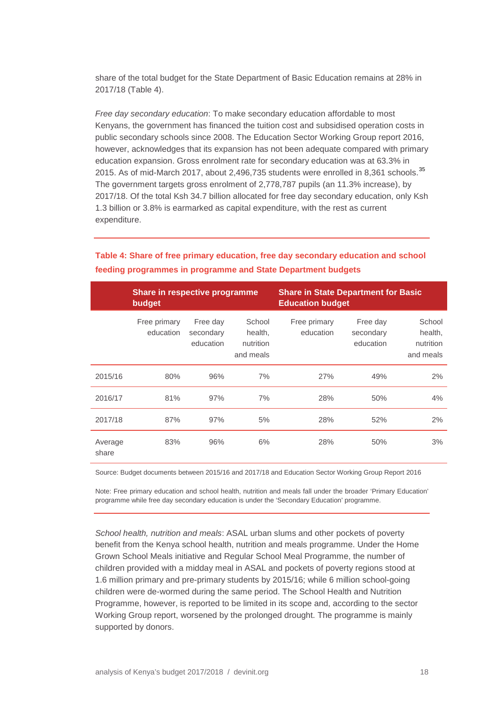share of the total budget for the State Department of Basic Education remains at 28% in 2017/18 (Table 4).

*Free day secondary education*: To make secondary education affordable to most Kenyans, the government has financed the tuition cost and subsidised operation costs in public secondary schools since 2008. The Education Sector Working Group report 2016, however, acknowledges that its expansion has not been adequate compared with primary education expansion. Gross enrolment rate for secondary education was at 63.3% in 2015. As of mid-March 2017, about 2,496,7[35](#page-25-12) students were enrolled in 8,361 schools.<sup>35</sup> The government targets gross enrolment of 2,778,787 pupils (an 11.3% increase), by 2017/18. Of the total Ksh 34.7 billion allocated for free day secondary education, only Ksh 1.3 billion or 3.8% is earmarked as capital expenditure, with the rest as current expenditure.

|                  | Share in respective programme<br>budget |                                    |                                             | <b>Share in State Department for Basic</b><br><b>Education budget</b> |                                    |                                             |
|------------------|-----------------------------------------|------------------------------------|---------------------------------------------|-----------------------------------------------------------------------|------------------------------------|---------------------------------------------|
|                  | Free primary<br>education               | Free day<br>secondary<br>education | School<br>health,<br>nutrition<br>and meals | Free primary<br>education                                             | Free day<br>secondary<br>education | School<br>health,<br>nutrition<br>and meals |
| 2015/16          | 80%                                     | 96%                                | 7%                                          | 27%                                                                   | 49%                                | 2%                                          |
| 2016/17          | 81%                                     | 97%                                | 7%                                          | 28%                                                                   | 50%                                | 4%                                          |
| 2017/18          | 87%                                     | 97%                                | 5%                                          | 28%                                                                   | 52%                                | 2%                                          |
| Average<br>share | 83%                                     | 96%                                | 6%                                          | 28%                                                                   | 50%                                | 3%                                          |

#### **Table 4: Share of free primary education, free day secondary education and school feeding programmes in programme and State Department budgets**

Source: Budget documents between 2015/16 and 2017/18 and Education Sector Working Group Report 2016

Note: Free primary education and school health, nutrition and meals fall under the broader 'Primary Education' programme while free day secondary education is under the 'Secondary Education' programme.

*School health, nutrition and meals*: ASAL urban slums and other pockets of poverty benefit from the Kenya school health, nutrition and meals programme. Under the Home Grown School Meals initiative and Regular School Meal Programme, the number of children provided with a midday meal in ASAL and pockets of poverty regions stood at 1.6 million primary and pre-primary students by 2015/16; while 6 million school-going children were de-wormed during the same period. The School Health and Nutrition Programme, however, is reported to be limited in its scope and, according to the sector Working Group report, worsened by the prolonged drought. The programme is mainly supported by donors.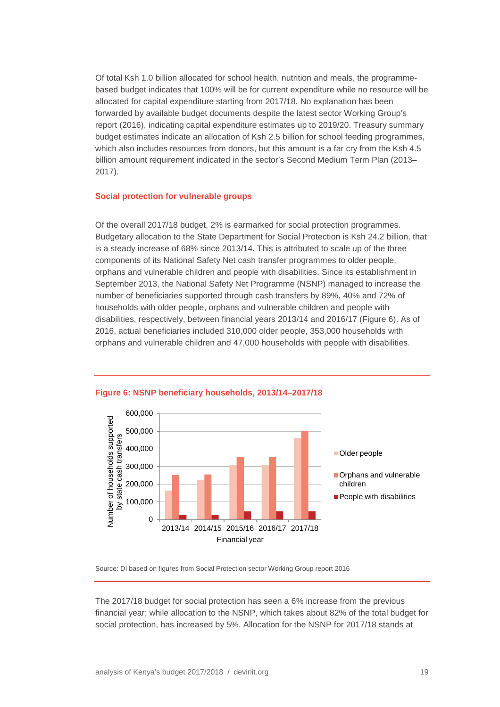Of total Ksh 1.0 billion allocated for school health, nutrition and meals, the programmebased budget indicates that 100% will be for current expenditure while no resource will be allocated for capital expenditure starting from 2017/18. No explanation has been forwarded by available budget documents despite the latest sector Working Group's report (2016), indicating capital expenditure estimates up to 2019/20. Treasury summary budget estimates indicate an allocation of Ksh 2.5 billion for school feeding programmes, which also includes resources from donors, but this amount is a far cry from the Ksh 4.5 billion amount requirement indicated in the sector's Second Medium Term Plan (2013– 2017).

#### <span id="page-18-0"></span>**Social protection for vulnerable groups**

Of the overall 2017/18 budget, 2% is earmarked for social protection programmes. Budgetary allocation to the State Department for Social Protection is Ksh 24.2 billion, that is a steady increase of 68% since 2013/14. This is attributed to scale up of the three components of its National Safety Net cash transfer programmes to older people, orphans and vulnerable children and people with disabilities. Since its establishment in September 2013, the National Safety Net Programme (NSNP) managed to increase the number of beneficiaries supported through cash transfers by 89%, 40% and 72% of households with older people, orphans and vulnerable children and people with disabilities, respectively, between financial years 2013/14 and 2016/17 (Figure 6). As of 2016, actual beneficiaries included 310,000 older people, 353,000 households with orphans and vulnerable children and 47,000 households with people with disabilities.



#### **Figure 6: NSNP beneficiary households, 2013/14–2017/18**

Source: DI based on figures from Social Protection sector Working Group report 2016

The 2017/18 budget for social protection has seen a 6% increase from the previous financial year; while allocation to the NSNP, which takes about 82% of the total budget for social protection, has increased by 5%. Allocation for the NSNP for 2017/18 stands at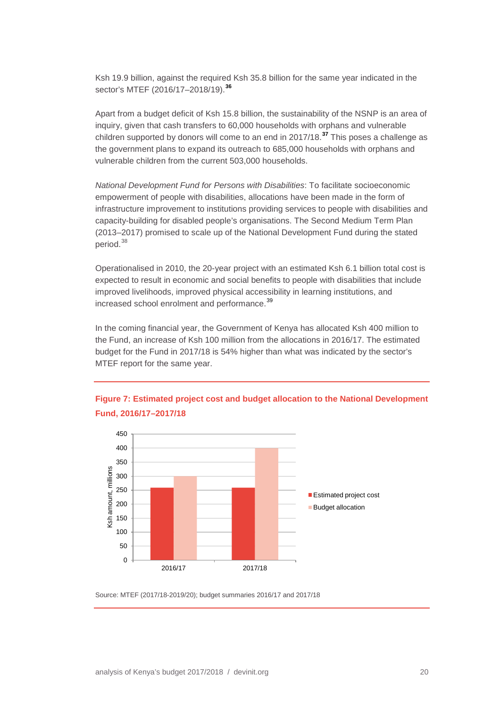Ksh 19.9 billion, against the required Ksh 35.8 billion for the same year indicated in the sector's MTEF (2016/17–2018/19). **[36](#page-25-13)**

Apart from a budget deficit of Ksh 15.8 billion, the sustainability of the NSNP is an area of inquiry, given that cash transfers to 60,000 households with orphans and vulnerable children supported by donors will come to an end in 2017/18. **[37](#page-25-14)** This poses a challenge as the government plans to expand its outreach to 685,000 households with orphans and vulnerable children from the current 503,000 households.

*National Development Fund for Persons with Disabilities*: To facilitate socioeconomic empowerment of people with disabilities, allocations have been made in the form of infrastructure improvement to institutions providing services to people with disabilities and capacity-building for disabled people's organisations. The Second Medium Term Plan (2013–2017) promised to scale up of the National Development Fund during the stated period.<sup>[38](#page-25-15)</sup>

Operationalised in 2010, the 20-year project with an estimated Ksh 6.1 billion total cost is expected to result in economic and social benefits to people with disabilities that include improved livelihoods, improved physical accessibility in learning institutions, and increased school enrolment and performance. [39](#page-25-16)

In the coming financial year, the Government of Kenya has allocated Ksh 400 million to the Fund, an increase of Ksh 100 million from the allocations in 2016/17. The estimated budget for the Fund in 2017/18 is 54% higher than what was indicated by the sector's MTEF report for the same year.





Source: MTEF (2017/18-2019/20); budget summaries 2016/17 and 2017/18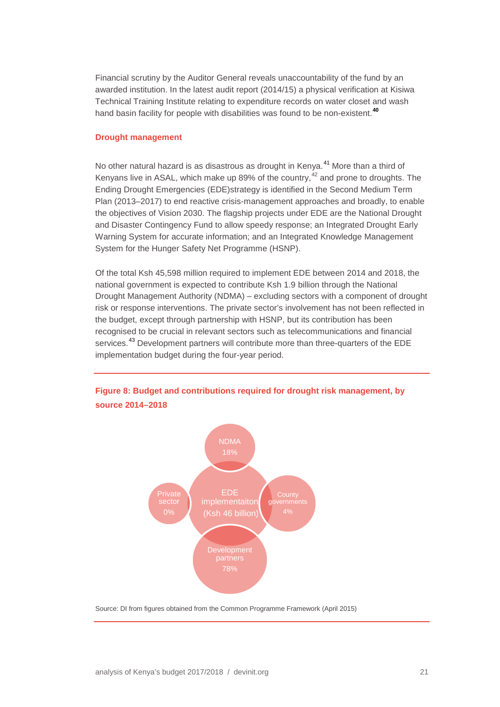Financial scrutiny by the Auditor General reveals unaccountability of the fund by an awarded institution. In the latest audit report (2014/15) a physical verification at Kisiwa Technical Training Institute relating to expenditure records on water closet and wash hand basin facility for people with disabilities was found to be non-existent. **[40](#page-25-17)**

#### <span id="page-20-0"></span>**Drought management**

No other natural hazard is as disastrous as drought in Kenya. [41](#page-25-18) More than a third of Kenyans live in ASAL, which make up 89% of the country,<sup>[42](#page-25-19)</sup> and prone to droughts. The Ending Drought Emergencies (EDE)strategy is identified in the Second Medium Term Plan (2013–2017) to end reactive crisis-management approaches and broadly, to enable the objectives of Vision 2030. The flagship projects under EDE are the National Drought and Disaster Contingency Fund to allow speedy response; an Integrated Drought Early Warning System for accurate information; and an Integrated Knowledge Management System for the Hunger Safety Net Programme (HSNP).

Of the total Ksh 45,598 million required to implement EDE between 2014 and 2018, the national government is expected to contribute Ksh 1.9 billion through the National Drought Management Authority (NDMA) – excluding sectors with a component of drought risk or response interventions. The private sector's involvement has not been reflected in the budget, except through partnership with HSNP, but its contribution has been recognised to be crucial in relevant sectors such as telecommunications and financial services.<sup>[43](#page-25-20)</sup> Development partners will contribute more than three-quarters of the EDE implementation budget during the four-year period.



#### **Figure 8: Budget and contributions required for drought risk management, by source 2014–2018**

Source: DI from figures obtained from the Common Programme Framework (April 2015)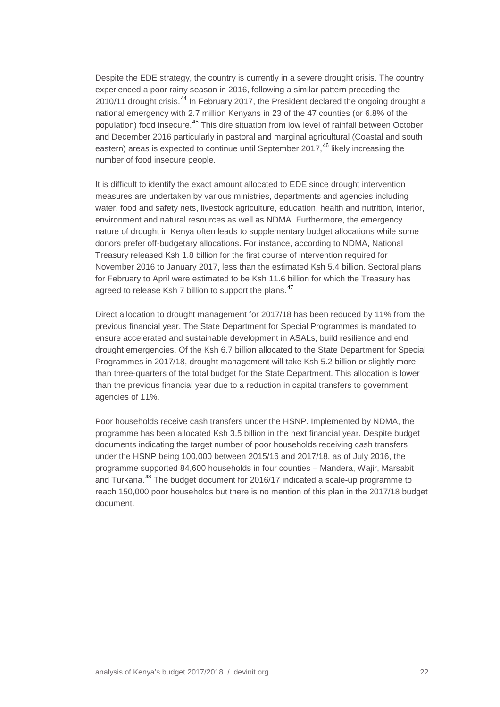Despite the EDE strategy, the country is currently in a severe drought crisis. The country experienced a poor rainy season in 2016, following a similar pattern preceding the 2010/11 drought crisis.<sup>[44](#page-25-21)</sup> In February 2017, the President declared the ongoing drought a national emergency with 2.7 million Kenyans in 23 of the 47 counties (or 6.8% of the population) food insecure.<sup>[45](#page-25-22)</sup> This dire situation from low level of rainfall between October and December 2016 particularly in pastoral and marginal agricultural (Coastal and south eastern) areas is expected to continue until September 2017, [46](#page-25-23) likely increasing the number of food insecure people.

It is difficult to identify the exact amount allocated to EDE since drought intervention measures are undertaken by various ministries, departments and agencies including water, food and safety nets, livestock agriculture, education, health and nutrition, interior, environment and natural resources as well as NDMA. Furthermore, the emergency nature of drought in Kenya often leads to supplementary budget allocations while some donors prefer off-budgetary allocations. For instance, according to NDMA, National Treasury released Ksh 1.8 billion for the first course of intervention required for November 2016 to January 2017, less than the estimated Ksh 5.4 billion. Sectoral plans for February to April were estimated to be Ksh 11.6 billion for which the Treasury has agreed to release Ksh 7 billion to support the plans.<sup>[47](#page-26-0)</sup>

Direct allocation to drought management for 2017/18 has been reduced by 11% from the previous financial year. The State Department for Special Programmes is mandated to ensure accelerated and sustainable development in ASALs, build resilience and end drought emergencies. Of the Ksh 6.7 billion allocated to the State Department for Special Programmes in 2017/18, drought management will take Ksh 5.2 billion or slightly more than three-quarters of the total budget for the State Department. This allocation is lower than the previous financial year due to a reduction in capital transfers to government agencies of 11%.

Poor households receive cash transfers under the HSNP. Implemented by NDMA, the programme has been allocated Ksh 3.5 billion in the next financial year. Despite budget documents indicating the target number of poor households receiving cash transfers under the HSNP being 100,000 between 2015/16 and 2017/18, as of July 2016, the programme supported 84,600 households in four counties – Mandera, Wajir, Marsabit and Turkana. [48](#page-26-1) The budget document for 2016/17 indicated a scale-up programme to reach 150,000 poor households but there is no mention of this plan in the 2017/18 budget document.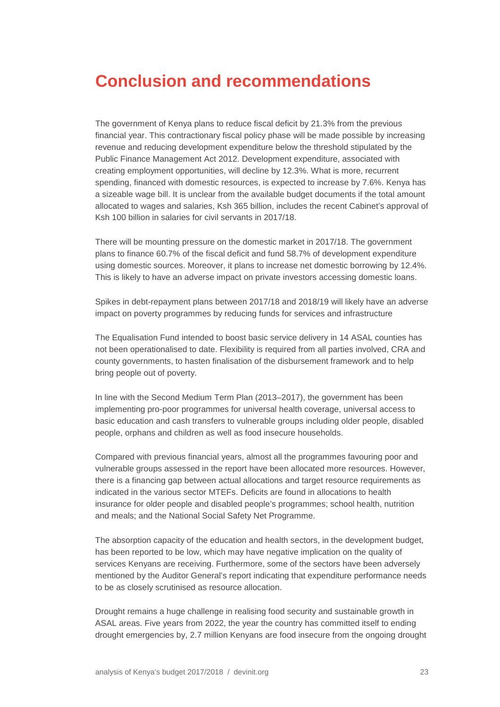# <span id="page-22-0"></span>**Conclusion and recommendations**

The government of Kenya plans to reduce fiscal deficit by 21.3% from the previous financial year. This contractionary fiscal policy phase will be made possible by increasing revenue and reducing development expenditure below the threshold stipulated by the Public Finance Management Act 2012. Development expenditure, associated with creating employment opportunities, will decline by 12.3%. What is more, recurrent spending, financed with domestic resources, is expected to increase by 7.6%. Kenya has a sizeable wage bill. It is unclear from the available budget documents if the total amount allocated to wages and salaries, Ksh 365 billion, includes the recent Cabinet's approval of Ksh 100 billion in salaries for civil servants in 2017/18.

There will be mounting pressure on the domestic market in 2017/18. The government plans to finance 60.7% of the fiscal deficit and fund 58.7% of development expenditure using domestic sources. Moreover, it plans to increase net domestic borrowing by 12.4%. This is likely to have an adverse impact on private investors accessing domestic loans.

Spikes in debt-repayment plans between 2017/18 and 2018/19 will likely have an adverse impact on poverty programmes by reducing funds for services and infrastructure

The Equalisation Fund intended to boost basic service delivery in 14 ASAL counties has not been operationalised to date. Flexibility is required from all parties involved, CRA and county governments, to hasten finalisation of the disbursement framework and to help bring people out of poverty.

In line with the Second Medium Term Plan (2013–2017), the government has been implementing pro-poor programmes for universal health coverage, universal access to basic education and cash transfers to vulnerable groups including older people, disabled people, orphans and children as well as food insecure households.

Compared with previous financial years, almost all the programmes favouring poor and vulnerable groups assessed in the report have been allocated more resources. However, there is a financing gap between actual allocations and target resource requirements as indicated in the various sector MTEFs. Deficits are found in allocations to health insurance for older people and disabled people's programmes; school health, nutrition and meals; and the National Social Safety Net Programme.

The absorption capacity of the education and health sectors, in the development budget, has been reported to be low, which may have negative implication on the quality of services Kenyans are receiving. Furthermore, some of the sectors have been adversely mentioned by the Auditor General's report indicating that expenditure performance needs to be as closely scrutinised as resource allocation.

Drought remains a huge challenge in realising food security and sustainable growth in ASAL areas. Five years from 2022, the year the country has committed itself to ending drought emergencies by, 2.7 million Kenyans are food insecure from the ongoing drought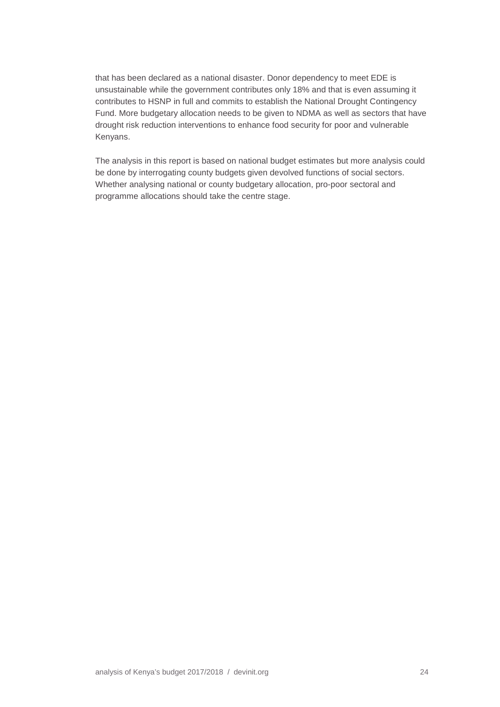that has been declared as a national disaster. Donor dependency to meet EDE is unsustainable while the government contributes only 18% and that is even assuming it contributes to HSNP in full and commits to establish the National Drought Contingency Fund. More budgetary allocation needs to be given to NDMA as well as sectors that have drought risk reduction interventions to enhance food security for poor and vulnerable Kenyans.

The analysis in this report is based on national budget estimates but more analysis could be done by interrogating county budgets given devolved functions of social sectors. Whether analysing national or county budgetary allocation, pro-poor sectoral and programme allocations should take the centre stage.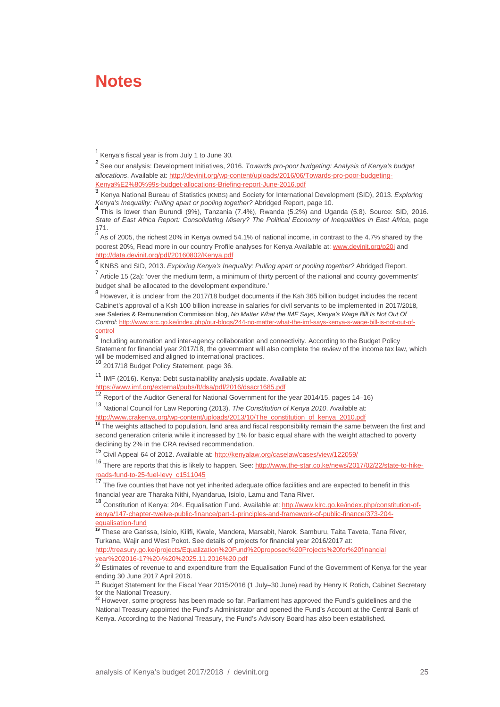### <span id="page-24-0"></span>**Notes**

<sup>1</sup> Kenya's fiscal year is from July 1 to June 30.

<span id="page-24-2"></span><span id="page-24-1"></span><sup>2</sup> See our analysis: Development Initiatives, 2016. *Towards pro-poor budgeting: Analysis of Kenya's budget allocations*. Available at[: http://devinit.org/wp-content/uploads/2016/06/Towards-pro-poor-budgeting-](http://devinit.org/wp-content/uploads/2016/06/Towards-pro-poor-budgeting-Kenya%E2%80%99s-budget-allocations-Briefing-report-June-2016.pdf)[Kenya%E2%80%99s-budget-allocations-Briefing-report-June-2016.pdf](http://devinit.org/wp-content/uploads/2016/06/Towards-pro-poor-budgeting-Kenya%E2%80%99s-budget-allocations-Briefing-report-June-2016.pdf)

<span id="page-24-3"></span><sup>3</sup> Kenya National Bureau of Statistics (KNBS) and Society for International Development (SID), 2013. *Exploring* 

<span id="page-24-4"></span>*Kenya's Inequality: Pulling apart or pooling together?* Abridged Report, page 10.<br><sup>4</sup> This is lower than Burundi (9%), Tanzania (7.4%), Rwanda (5.2%) and Uganda (5.8). Source: SID, 2016. *State of East Africa Report: Consolidating Misery? The Political Economy of Inequalities in East Africa*, page

<span id="page-24-5"></span>171.<br><sup>5</sup> As of 2005, the richest 20% in Kenya owned 54.1% of national income, in contrast to the 4.7% shared by the poorest 20%, Read more in our country Profile analyses for Kenya Available at[: www.devinit.org/p20i](http://www.devinit.org/p20i) and <http://data.devinit.org/pdf/20160802/Kenya.pdf>

<span id="page-24-7"></span>

<span id="page-24-6"></span>6<br>6 KNBS and SID, 2013. *Exploring Kenya's Inequality: Pulling apart or pooling together?* Abridged Report.<br><sup>7</sup> Article 15 (2a): 'over the medium term, a minimum of thirty percent of the national and county governments' budget shall be allocated to the development expenditure.'

<span id="page-24-8"></span><sup>8</sup> However, it is unclear from the 2017/18 budget documents if the Ksh 365 billion budget includes the recent Cabinet's approval of a Ksh 100 billion increase in salaries for civil servants to be implemented in 2017/2018, see Saleries & Remuneration Commission blog, *No Matter What the IMF Says, Kenya's Wage Bill Is Not Out Of Control*[: http://www.src.go.ke/index.php/our-blogs/244-no-matter-what-the-imf-says-kenya-s-wage-bill-is-not-out-of-](http://www.src.go.ke/index.php/our-blogs/244-no-matter-what-the-imf-says-kenya-s-wage-bill-is-not-out-of-control)

<span id="page-24-9"></span>control<br><sup>9</sup> Including automation and inter-agency collaboration and connectivity. According to the Budget Policy Statement for financial year 2017/18, the government will also complete the review of the income tax law, which will be modernised and aligned to international practices.

<span id="page-24-10"></span>10<br>2017/18 Budget Policy Statement, page 36.

<span id="page-24-11"></span><sup>11</sup> IMF (2016). Kenya: Debt sustainability analysis update. Available at: <https://www.imf.org/external/pubs/ft/dsa/pdf/2016/dsacr1685.pdf>

<span id="page-24-12"></span><sup>12</sup> Report of the Auditor General for National Government for the year 2014/15, pages 14–16)

<span id="page-24-13"></span><sup>13</sup> National Council for Law Reporting (2013). *The Constitution of Kenya 2010*. Available at: [http://www.crakenya.org/wp-content/uploads/2013/10/The\\_constitution\\_of\\_kenya\\_2010.pdf](http://www.crakenya.org/wp-content/uploads/2013/10/The_constitution_of_kenya_2010.pdf)

<span id="page-24-14"></span><sup>14</sup> The weights attached to population, land area and fiscal responsibility remain the same between the first and second generation criteria while it increased by 1% for basic equal share with the weight attached to poverty declining by 2% in the CRA revised recommendation.

<span id="page-24-15"></span><sup>15</sup> Civil Appeal 64 of 2012. Available at[: http://kenyalaw.org/caselaw/cases/view/122059/](http://kenyalaw.org/caselaw/cases/view/122059/)

<span id="page-24-16"></span>16 There are reports that this is likely to happen. See: [http://www.the-star.co.ke/news/2017/02/22/state-to-hike](http://www.the-star.co.ke/news/2017/02/22/state-to-hike-roads-fund-to-25-fuel-levy_c1511045)[roads-fund-to-25-fuel-levy\\_c1511045](http://www.the-star.co.ke/news/2017/02/22/state-to-hike-roads-fund-to-25-fuel-levy_c1511045)

<span id="page-24-17"></span><sup>17</sup> The five counties that have not yet inherited adequate office facilities and are expected to benefit in this financial year are Tharaka Nithi, Nyandarua, Isiolo, Lamu and Tana River.

<span id="page-24-18"></span>18 Constitution of Kenya: 204. Equalisation Fund. Available at[: http://www.klrc.go.ke/index.php/constitution-of](http://www.klrc.go.ke/index.php/constitution-of-kenya/147-chapter-twelve-public-finance/part-1-principles-and-framework-of-public-finance/373-204-equalisation-fund)[kenya/147-chapter-twelve-public-finance/part-1-principles-and-framework-of-public-finance/373-204](http://www.klrc.go.ke/index.php/constitution-of-kenya/147-chapter-twelve-public-finance/part-1-principles-and-framework-of-public-finance/373-204-equalisation-fund) [equalisation-fund](http://www.klrc.go.ke/index.php/constitution-of-kenya/147-chapter-twelve-public-finance/part-1-principles-and-framework-of-public-finance/373-204-equalisation-fund)

<span id="page-24-19"></span><sup>19</sup> These are Garissa, Isiolo, Kilifi, Kwale, Mandera, Marsabit, Narok, Samburu, Taita Taveta, Tana River, Turkana, Wajir and West Pokot. See details of projects for financial year 2016/2017 at: [http://treasury.go.ke/projects/Equalization%20Fund%20proposed%20Projects%20for%20financial](http://treasury.go.ke/projects/Equalization%20Fund%20proposed%20Projects%20for%20FY%202016-17%20-%20%2025.11.2016%20.pdf)  [year%202016-17%20-%20%2025.11.2016%20.pdf](http://treasury.go.ke/projects/Equalization%20Fund%20proposed%20Projects%20for%20FY%202016-17%20-%20%2025.11.2016%20.pdf)

<span id="page-24-20"></span><sup>20</sup> Estimates of revenue to and expenditure from the Equalisation Fund of the Government of Kenya for the year ending 30 June 2017 April 2016.

<span id="page-24-21"></span><sup>21</sup> Budget Statement for the Fiscal Year 2015/2016 (1 July–30 June) read by Henry K Rotich, Cabinet Secretary for the National Treasury.<br><sup>22</sup> However, some progress has been made so far. Parliament has approved the Fund's guidelines and the

<span id="page-24-22"></span>National Treasury appointed the Fund's Administrator and opened the Fund's Account at the Central Bank of Kenya. According to the National Treasury, the Fund's Advisory Board has also been established.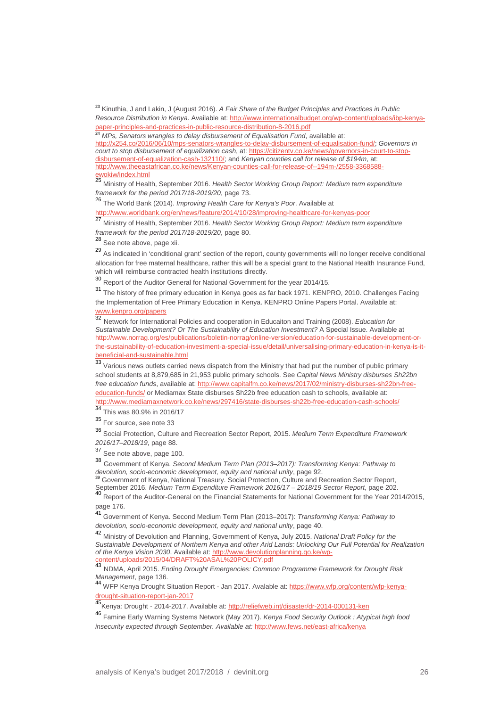<span id="page-25-0"></span><sup>23</sup> Kinuthia, J and Lakin, J (August 2016). *A Fair Share of the Budget Principles and Practices in Public Resource Distribution in Kenya*. Available at: [http://www.internationalbudget.org/wp-content/uploads/ibp-kenya](http://www.internationalbudget.org/wp-content/uploads/ibp-kenya-paper-principles-and-practices-in-public-resource-distribution-8-2016.pdf)[paper-principles-and-practices-in-public-resource-distribution-8-2016.pdf](http://www.internationalbudget.org/wp-content/uploads/ibp-kenya-paper-principles-and-practices-in-public-resource-distribution-8-2016.pdf)<br><sup>24</sup> MDs. Carefus

<sup>24</sup> *MPs, Senators wrangles to delay disbursement of Equalisation Fund*, available at:

<span id="page-25-1"></span>[http://x254.co/2016/06/10/mps-senators-wrangles-to-delay-disbursement-of-equalisation-fund/;](http://x254.co/2016/06/10/mps-senators-wrangles-to-delay-disbursement-of-equalisation-fund/) *Governors in court to stop disbursement of equalization cash*, at: [https://citizentv.co.ke/news/governors-in-court-to-stop](https://citizentv.co.ke/news/governors-in-court-to-stop-disbursement-of-equalization-cash-132110/)[disbursement-of-equalization-cash-132110/;](https://citizentv.co.ke/news/governors-in-court-to-stop-disbursement-of-equalization-cash-132110/) and *Kenyan counties call for release of \$194m*, at: [http://www.theeastafrican.co.ke/news/Kenyan-counties-call-for-release-of--194m-/2558-3368588](http://www.theeastafrican.co.ke/news/Kenyan-counties-call-for-release-of--194m-/2558-3368588-ewokiw/index.html) [ewokiw/index.html](http://www.theeastafrican.co.ke/news/Kenyan-counties-call-for-release-of--194m-/2558-3368588-ewokiw/index.html)<br>25 ...

<span id="page-25-2"></span><sup>25</sup> Ministry of Health, September 2016. *Health Sector Working Group Report: Medium term expenditure framework for the period 2017/18-2019/20*, page 73.

<span id="page-25-3"></span><sup>26</sup> The World Bank (2014). *Improving Health Care for Kenya's Poor*. Available at

<http://www.worldbank.org/en/news/feature/2014/10/28/improving-healthcare-for-kenyas-poor>

<span id="page-25-4"></span><sup>27</sup> Ministry of Health, September 2016. *Health Sector Working Group Report: Medium term expenditure framework for the period 2017/18-2019/20*, page 80.

<span id="page-25-5"></span><sup>28</sup> See note above, page xii.

<span id="page-25-6"></span><sup>29</sup> As indicated in 'conditional grant' section of the report, county governments will no longer receive conditional allocation for free maternal healthcare, rather this will be a special grant to the National Health Insurance Fund, which will reimburse contracted health institutions directly.

<span id="page-25-7"></span><sup>30</sup> Report of the Auditor General for National Government for the year 2014/15.

<span id="page-25-8"></span><sup>31</sup> The history of free primary education in Kenya goes as far back 1971. KENPRO, 2010. Challenges Facing the Implementation of Free Primary Education in Kenya. KENPRO Online Papers Portal. Available at: [www.kenpro.org/papers](http://www.kenpro.org/papers)<br>32 Metuerk for Internatio

<span id="page-25-9"></span><sup>32</sup> Network for International Policies and cooperation in Educaiton and Training (2008). *Education for Sustainable Development? Or The Sustainability of Education Investment?* A Special Issue. Available at [http://www.norrag.org/es/publications/boletin-norrag/online-version/education-for-sustainable-development-or](http://www.norrag.org/es/publications/boletin-norrag/online-version/education-for-sustainable-development-or-the-sustainability-of-education-investment-a-special-issue/detail/universalising-primary-education-in-kenya-is-it-beneficial-and-sustainable.html)[the-sustainability-of-education-investment-a-special-issue/detail/universalising-primary-education-in-kenya-is-it](http://www.norrag.org/es/publications/boletin-norrag/online-version/education-for-sustainable-development-or-the-sustainability-of-education-investment-a-special-issue/detail/universalising-primary-education-in-kenya-is-it-beneficial-and-sustainable.html)[beneficial-and-sustainable.html](http://www.norrag.org/es/publications/boletin-norrag/online-version/education-for-sustainable-development-or-the-sustainability-of-education-investment-a-special-issue/detail/universalising-primary-education-in-kenya-is-it-beneficial-and-sustainable.html)

<span id="page-25-10"></span>33 Various news outlets carried news dispatch from the Ministry that had put the number of public primary school students at 8,879,685 in 21,953 public primary schools. See *Capital News Ministry disburses Sh22bn free education funds*, available at[: http://www.capitalfm.co.ke/news/2017/02/ministry-disburses-sh22bn-free](http://www.capitalfm.co.ke/news/2017/02/ministry-disburses-sh22bn-free-education-funds/)[education-funds/](http://www.capitalfm.co.ke/news/2017/02/ministry-disburses-sh22bn-free-education-funds/) or Mediamax State disburses Sh22b free education cash to schools, available at: <http://www.mediamaxnetwork.co.ke/news/297416/state-disburses-sh22b-free-education-cash-schools/>

<sup>34</sup> This was 80.9% in 2016/17

<span id="page-25-12"></span><span id="page-25-11"></span><sup>35</sup> For source, see note 33

<span id="page-25-13"></span><sup>36</sup> Social Protection, Culture and Recreation Sector Report, 2015. *Medium Term Expenditure Framework 2016/17–2018/19*, page 88.

<sup>37</sup> See note above, page 100.

<span id="page-25-15"></span><span id="page-25-14"></span><sup>38</sup> Government of Kenya. *Second Medium Term Plan (2013–2017): Transforming Kenya: Pathway to devolution, socio-economic development, equity and national unity, page 92.*<br><sup>39</sup> Government of Kenya, National Treasury. Social Protection, Culture and Recreation Sector Report, September 2016. *Medium Term Expenditure F* 

<span id="page-25-16"></span>

<span id="page-25-17"></span><sup>40</sup> Report of the Auditor-General on the Financial Statements for National Government for the Year 2014/2015, page 176.

<span id="page-25-18"></span><sup>41</sup> Government of Kenya. Second Medium Term Plan (2013–2017): *Transforming Kenya: Pathway to devolution, socio-economic development, equity and national unity*, page 40.

<span id="page-25-19"></span><sup>42</sup> Ministry of Devolution and Planning, Government of Kenya, July 2015. *National Draft Policy for the Sustainable Development of Northern Kenya and other Arid Lands: Unlocking Our Full Potential for Realization of the Kenya Vision 2030*. Available at[: http://www.devolutionplanning.go.ke/wp](http://www.devolutionplanning.go.ke/wp-content/uploads/2015/04/DRAFT%20ASAL%20POLICY.pdf)[content/uploads/2015/04/DRAFT%20ASAL%20POLICY.pdf](http://www.devolutionplanning.go.ke/wp-content/uploads/2015/04/DRAFT%20ASAL%20POLICY.pdf)

<span id="page-25-20"></span><sup>43</sup> NDMA, April 2015. *Ending Drought Emergencies: Common Programme Framework for Drought Risk* 

<span id="page-25-21"></span>*Management*, page 136. <sup>44</sup> WFP Kenya Drought Situation Report - Jan 2017. Avalable at[: https://www.wfp.org/content/wfp-kenya](https://www.wfp.org/content/wfp-kenya-drought-situation-report-jan-2017)[drought-situation-report-jan-2017](https://www.wfp.org/content/wfp-kenya-drought-situation-report-jan-2017)

<span id="page-25-22"></span>45Kenya: Drought - 2014-2017. Available at: <http://reliefweb.int/disaster/dr-2014-000131-ken>

<span id="page-25-23"></span><sup>46</sup> Famine Early Warning Systems Network (May 2017). *Keny[a Food Security Outlook](http://www.fews.net/archive?f%5b0%5d=field_report_type%3A48&f%5b1%5d=field_report_countries%3A27) [: Atypical high food](http://www.fews.net/east-africa/kenya/food-security-outlook/february-2017)  [insecurity expected through September.](http://www.fews.net/east-africa/kenya/food-security-outlook/february-2017) Available at:* <http://www.fews.net/east-africa/kenya>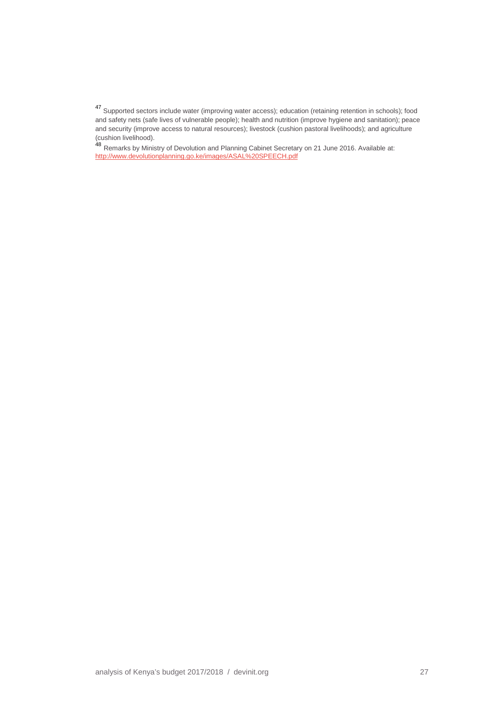<span id="page-26-0"></span><sup>47</sup> Supported sectors include water (improving water access); education (retaining retention in schools); food and safety nets (safe lives of vulnerable people); health and nutrition (improve hygiene and sanitation); peace and security (improve access to natural resources); livestock (cushion pastoral livelihoods); and agriculture (cushion livelihood).<br>
48 Remarks by Ministry of Devolution and Planning Cabinet Secretary on 21 June 2016. Available at:

<span id="page-26-1"></span><http://www.devolutionplanning.go.ke/images/ASAL%20SPEECH.pdf>